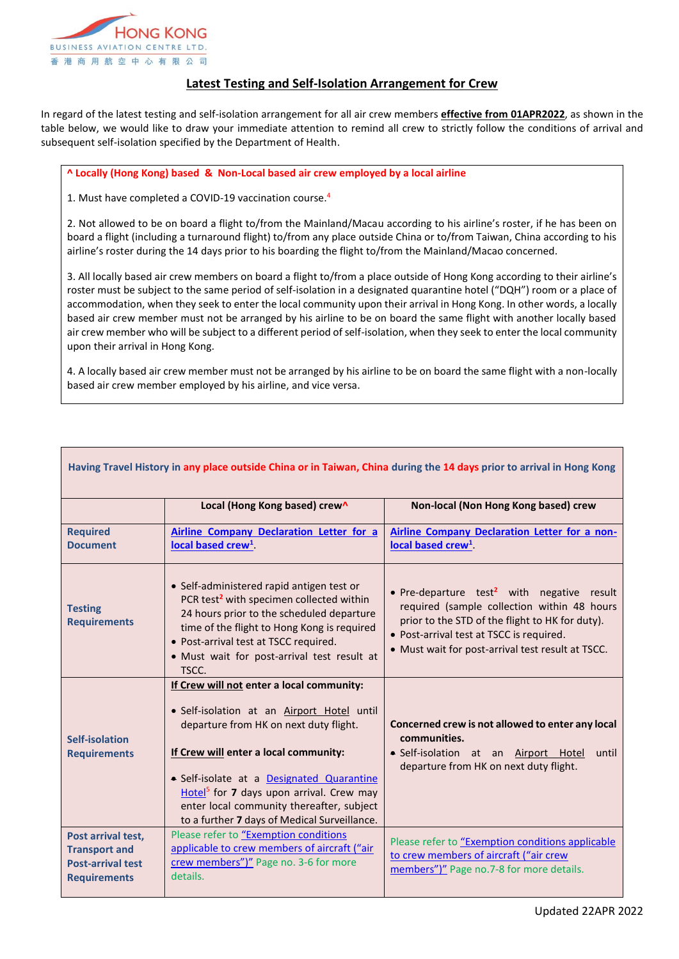

## **Latest Testing and Self-Isolation Arrangement for Crew**

In regard of the latest testing and self-isolation arrangement for all air crew members **effective from 01APR2022**, as shown in the table below, we would like to draw your immediate attention to remind all crew to strictly follow the conditions of arrival and subsequent self-isolation specified by the Department of Health.

## **^ Locally (Hong Kong) based & Non-Local based air crew employed by a local airline**

1. Must have completed a COVID-19 vaccination course. 4

2. Not allowed to be on board a flight to/from the Mainland/Macau according to his airline's roster, if he has been on board a flight (including a turnaround flight) to/from any place outside China or to/from Taiwan, China according to his airline's roster during the 14 days prior to his boarding the flight to/from the Mainland/Macao concerned.

3. All locally based air crew members on board a flight to/from a place outside of Hong Kong according to their airline's roster must be subject to the same period of self-isolation in a designated quarantine hotel ("DQH") room or a place of accommodation, when they seek to enter the local community upon their arrival in Hong Kong. In other words, a locally based air crew member must not be arranged by his airline to be on board the same flight with another locally based air crew member who will be subject to a different period of self-isolation, when they seek to enter the local community upon their arrival in Hong Kong.

4. A locally based air crew member must not be arranged by his airline to be on board the same flight with a non-locally based air crew member employed by his airline, and vice versa.

|                                                                                               | Local (Hong Kong based) crew^                                                                                                                                                                                                                                                                                                                                                | Non-local (Non Hong Kong based) crew                                                                                                                                                                                                                      |  |
|-----------------------------------------------------------------------------------------------|------------------------------------------------------------------------------------------------------------------------------------------------------------------------------------------------------------------------------------------------------------------------------------------------------------------------------------------------------------------------------|-----------------------------------------------------------------------------------------------------------------------------------------------------------------------------------------------------------------------------------------------------------|--|
| <b>Required</b>                                                                               | <b>Airline Company Declaration Letter for a</b>                                                                                                                                                                                                                                                                                                                              | <b>Airline Company Declaration Letter for a non-</b>                                                                                                                                                                                                      |  |
| <b>Document</b>                                                                               | local based crew <sup>1</sup>                                                                                                                                                                                                                                                                                                                                                | local based crew <sup>1</sup>                                                                                                                                                                                                                             |  |
| <b>Testing</b><br><b>Requirements</b>                                                         | • Self-administered rapid antigen test or<br>PCR test <sup>2</sup> with specimen collected within<br>24 hours prior to the scheduled departure<br>time of the flight to Hong Kong is required<br>• Post-arrival test at TSCC required.<br>• Must wait for post-arrival test result at<br>TSCC.                                                                               | • Pre-departure test <sup>2</sup> with negative result<br>required (sample collection within 48 hours<br>prior to the STD of the flight to HK for duty).<br>• Post-arrival test at TSCC is required.<br>• Must wait for post-arrival test result at TSCC. |  |
| Self-isolation<br><b>Requirements</b>                                                         | If Crew will not enter a local community:<br>· Self-isolation at an Airport Hotel until<br>departure from HK on next duty flight.<br>If Crew will enter a local community:<br>• Self-isolate at a Designated Quarantine<br>Hotel <sup>5</sup> for 7 days upon arrival. Crew may<br>enter local community thereafter, subject<br>to a further 7 days of Medical Surveillance. | Concerned crew is not allowed to enter any local<br>communities.<br>· Self-isolation at an Airport Hotel<br>until<br>departure from HK on next duty flight.                                                                                               |  |
| Post arrival test,<br><b>Transport and</b><br><b>Post-arrival test</b><br><b>Requirements</b> | Please refer to "Exemption conditions<br>applicable to crew members of aircraft ("air<br>crew members")" Page no. 3-6 for more<br>details.                                                                                                                                                                                                                                   | Please refer to "Exemption conditions applicable<br>to crew members of aircraft ("air crew<br>members")" Page no.7-8 for more details.                                                                                                                    |  |

## **Having Travel History in any place outside China or in Taiwan, China during the 14 days prior to arrival in Hong Kong**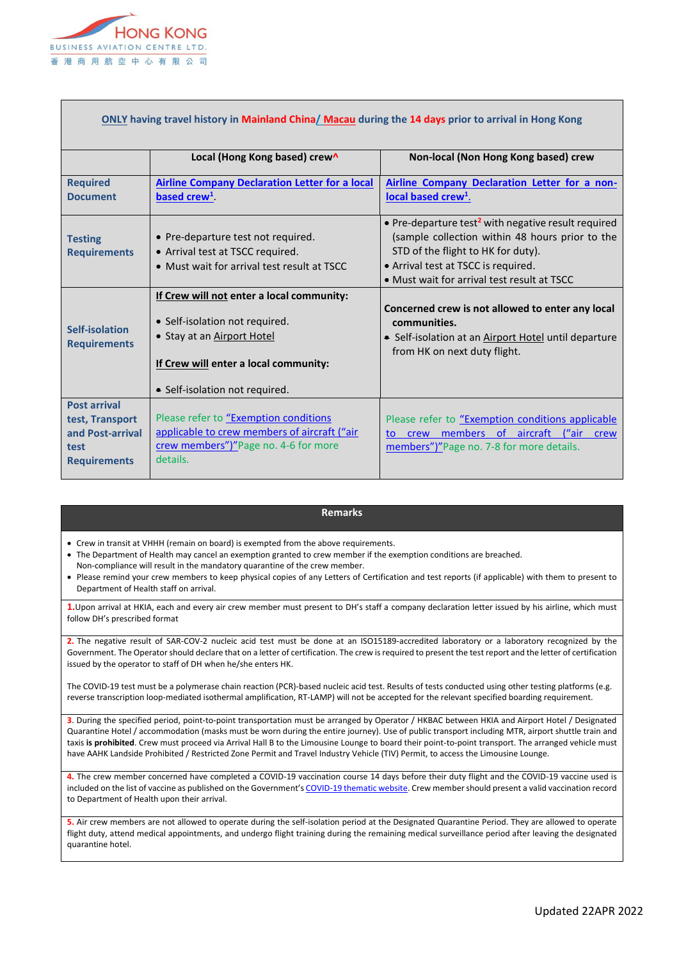

| ONLY having travel history in Mainland China/ Macau during the 14 days prior to arrival in Hong Kong |                                                       |                                                                 |  |
|------------------------------------------------------------------------------------------------------|-------------------------------------------------------|-----------------------------------------------------------------|--|
|                                                                                                      | Local (Hong Kong based) crew^                         | Non-local (Non Hong Kong based) crew                            |  |
| <b>Required</b>                                                                                      | <b>Airline Company Declaration Letter for a local</b> | Airline Company Declaration Letter for a non-                   |  |
| <b>Document</b>                                                                                      | based crew <sup>1</sup>                               | local based crew <sup>1</sup> .                                 |  |
|                                                                                                      |                                                       | • Pre-departure test <sup>2</sup> with negative result required |  |
| <b>Testing</b>                                                                                       | • Pre-departure test not required.                    | (sample collection within 48 hours prior to the                 |  |
| <b>Requirements</b>                                                                                  | • Arrival test at TSCC required.                      | STD of the flight to HK for duty).                              |  |
|                                                                                                      | • Must wait for arrival test result at TSCC           | • Arrival test at TSCC is required.                             |  |
|                                                                                                      |                                                       | • Must wait for arrival test result at TSCC                     |  |
|                                                                                                      | If Crew will not enter a local community:             |                                                                 |  |
| Self-isolation<br><b>Requirements</b>                                                                |                                                       | Concerned crew is not allowed to enter any local                |  |
|                                                                                                      | • Self-isolation not required.                        | communities.                                                    |  |
|                                                                                                      | • Stay at an <b>Airport Hotel</b>                     | • Self-isolation at an Airport Hotel until departure            |  |
|                                                                                                      |                                                       | from HK on next duty flight.                                    |  |
|                                                                                                      | If Crew will enter a local community:                 |                                                                 |  |
|                                                                                                      | • Self-isolation not required.                        |                                                                 |  |
| <b>Post arrival</b>                                                                                  |                                                       |                                                                 |  |
| test, Transport                                                                                      | Please refer to "Exemption conditions                 | Please refer to "Exemption conditions applicable                |  |
| and Post-arrival                                                                                     | applicable to crew members of aircraft ("air          | crew members of aircraft ("air<br>crew<br>to                    |  |
| test                                                                                                 | crew members")"Page no. 4-6 for more                  | members")"Page no. 7-8 for more details.                        |  |
| <b>Requirements</b>                                                                                  | details.                                              |                                                                 |  |
|                                                                                                      |                                                       |                                                                 |  |

## **Remarks**

Crew in transit at VHHH (remain on board) is exempted from the above requirements.

- The Department of Health may cancel an exemption granted to crew member if the exemption conditions are breached.
- Non-compliance will result in the mandatory quarantine of the crew member.
- Please remind your crew members to keep physical copies of any Letters of Certification and test reports (if applicable) with them to present to Department of Health staff on arrival.

**1.**Upon arrival at HKIA, each and every air crew member must present to DH's staff a company declaration letter issued by his airline, which must follow DH's prescribed format

**2.** The negative result of SAR-COV-2 nucleic acid test must be done at an ISO15189-accredited laboratory or a laboratory recognized by the Government. The Operator should declare that on a letter of certification. The crew is required to present the test report and the letter of certification issued by the operator to staff of DH when he/she enters HK.

The COVID-19 test must be a polymerase chain reaction (PCR)-based nucleic acid test. Results of tests conducted using other testing platforms (e.g. reverse transcription loop-mediated isothermal amplification, RT-LAMP) will not be accepted for the relevant specified boarding requirement.

**3**. During the specified period, point-to-point transportation must be arranged by Operator / HKBAC between HKIA and Airport Hotel / Designated Quarantine Hotel / accommodation (masks must be worn during the entire journey). Use of public transport including MTR, airport shuttle train and taxis **is prohibited**. Crew must proceed via Arrival Hall B to the Limousine Lounge to board their point-to-point transport. The arranged vehicle must have AAHK Landside Prohibited / Restricted Zone Permit and Travel Industry Vehicle (TIV) Permit, to access the Limousine Lounge.

**4.** The crew member concerned have completed a COVID-19 vaccination course 14 days before their duty flight and the COVID-19 vaccine used is included on the list of vaccine as published on the Government's [COVID-19 thematic website.](https://www.coronavirus.gov.hk/pdf/list_of_recognised_covid19_vaccines.pdf) Crew member should present a valid vaccination record to Department of Health upon their arrival.

**5.** Air crew members are not allowed to operate during the self-isolation period at the Designated Quarantine Period. They are allowed to operate flight duty, attend medical appointments, and undergo flight training during the remaining medical surveillance period after leaving the designated quarantine hotel.